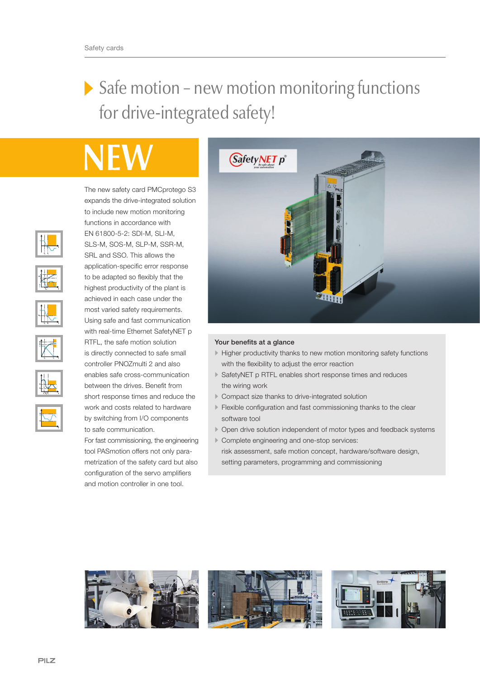## Safe motion - new motion monitoring functions for drive-integrated safety!

The new safety card PMCprotego S3 expands the drive-integrated solution to include new motion monitoring functions in accordance with EN 61800-5-2: SDI-M, SLI-M, SLS-M, SOS-M, SLP-M, SSR-M, SRL and SSO. This allows the application-specific error response to be adapted so flexibly that the highest productivity of the plant is achieved in each case under the most varied safety requirements. Using safe and fast communication with real-time Ethernet SafetyNET p RTFL, the safe motion solution is directly connected to safe small controller PNOZmulti 2 and also enables safe cross-communication between the drives. Benefit from short response times and reduce the work and costs related to hardware by switching from I/O components to safe communication.

For fast commissioning, the engineering tool PASmotion offers not only parametrization of the safety card but also configuration of the servo amplifiers and motion controller in one tool.



## Your benefits at a glance

- Higher productivity thanks to new motion monitoring safety functions with the flexibility to adjust the error reaction
- SafetyNET p RTFL enables short response times and reduces the wiring work
- Compact size thanks to drive-integrated solution
- Flexible configuration and fast commissioning thanks to the clear software tool
- Open drive solution independent of motor types and feedback systems
- Complete engineering and one-stop services: risk assessment, safe motion concept, hardware/software design, setting parameters, programming and commissioning